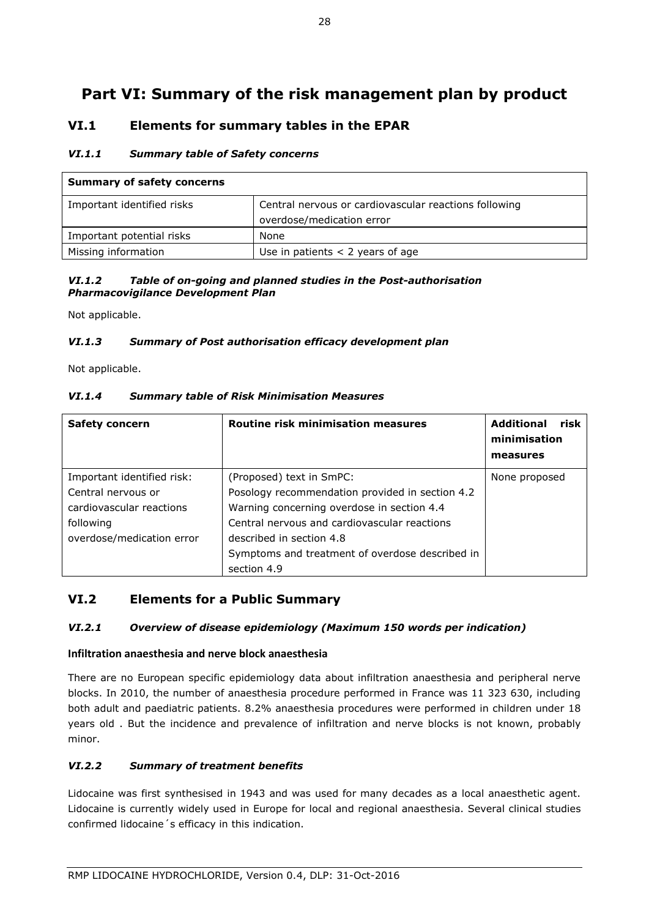# **Part VI: Summary of the risk management plan by product**

## **VI.1 Elements for summary tables in the EPAR**

## *VI.1.1 Summary table of Safety concerns*

| <b>Summary of safety concerns</b> |                                                                                    |  |
|-----------------------------------|------------------------------------------------------------------------------------|--|
| Important identified risks        | Central nervous or cardiovascular reactions following<br>overdose/medication error |  |
| Important potential risks         | None                                                                               |  |
| Missing information               | Use in patients $<$ 2 years of age                                                 |  |

### *VI.1.2 Table of on-going and planned studies in the Post-authorisation Pharmacovigilance Development Plan*

Not applicable.

## *VI.1.3 Summary of Post authorisation efficacy development plan*

Not applicable.

## *VI.1.4 Summary table of Risk Minimisation Measures*

| <b>Safety concern</b>      | Routine risk minimisation measures              | risk<br><b>Additional</b><br>minimisation<br>measures |
|----------------------------|-------------------------------------------------|-------------------------------------------------------|
| Important identified risk: | (Proposed) text in SmPC:                        | None proposed                                         |
| Central nervous or         | Posology recommendation provided in section 4.2 |                                                       |
| cardiovascular reactions   | Warning concerning overdose in section 4.4      |                                                       |
| following                  | Central nervous and cardiovascular reactions    |                                                       |
| overdose/medication error  | described in section 4.8                        |                                                       |
|                            | Symptoms and treatment of overdose described in |                                                       |
|                            | section 4.9                                     |                                                       |

## **VI.2 Elements for a Public Summary**

## *VI.2.1 Overview of disease epidemiology (Maximum 150 words per indication)*

## **Infiltration anaesthesia and nerve block anaesthesia**

There are no European specific epidemiology data about infiltration anaesthesia and peripheral nerve blocks. In 2010, the number of anaesthesia procedure performed in France was 11 323 630, including both adult and paediatric patients. 8.2% anaesthesia procedures were performed in children under 18 years old . But the incidence and prevalence of infiltration and nerve blocks is not known, probably minor.

## *VI.2.2 Summary of treatment benefits*

Lidocaine was first synthesised in 1943 and was used for many decades as a local anaesthetic agent. Lidocaine is currently widely used in Europe for local and regional anaesthesia. Several clinical studies confirmed lidocaine´s efficacy in this indication.